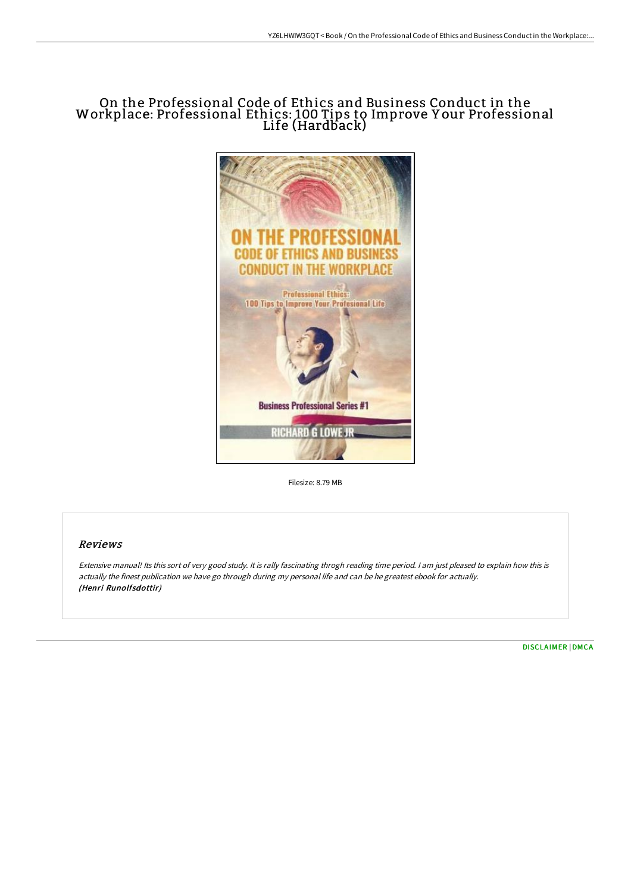## On the Professional Code of Ethics and Business Conduct in the Workplace: Professional Ethics: 100 Tips to Improve Y our Professional Life (Hardback)



Filesize: 8.79 MB

## Reviews

Extensive manual! Its this sort of very good study. It is rally fascinating throgh reading time period. <sup>I</sup> am just pleased to explain how this is actually the finest publication we have go through during my personal life and can be he greatest ebook for actually. (Henri Runolfsdottir)

[DISCLAIMER](http://www.bookdirs.com/disclaimer.html) | [DMCA](http://www.bookdirs.com/dmca.html)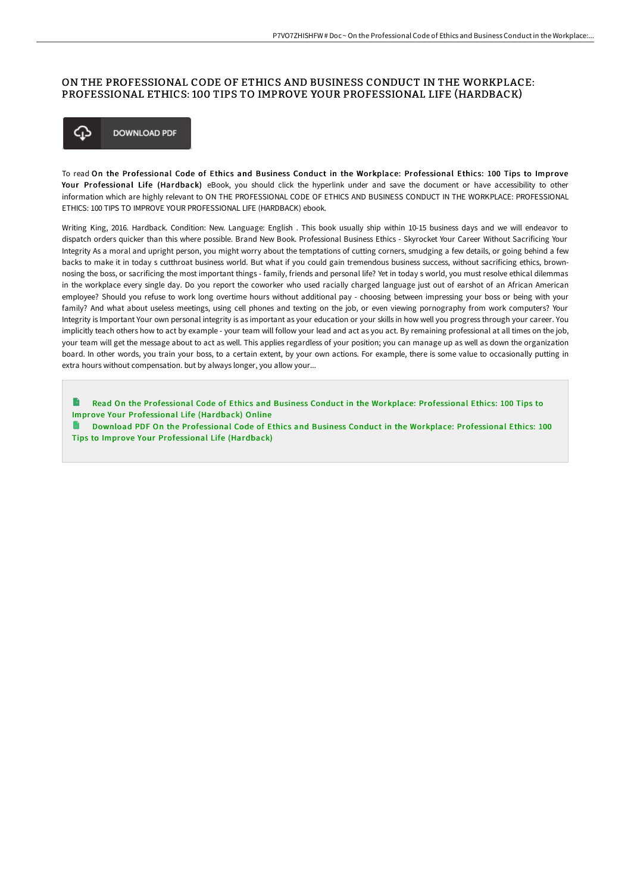## ON THE PROFESSIONAL CODE OF ETHICS AND BUSINESS CONDUCT IN THE WORKPLACE: PROFESSIONAL ETHICS: 100 TIPS TO IMPROVE YOUR PROFESSIONAL LIFE (HARDBACK)



To read On the Professional Code of Ethics and Business Conduct in the Workplace: Professional Ethics: 100 Tips to Improve Your Professional Life (Hardback) eBook, you should click the hyperlink under and save the document or have accessibility to other information which are highly relevant to ON THE PROFESSIONAL CODE OF ETHICS AND BUSINESS CONDUCT IN THE WORKPLACE: PROFESSIONAL ETHICS: 100 TIPS TO IMPROVE YOUR PROFESSIONAL LIFE (HARDBACK) ebook.

Writing King, 2016. Hardback. Condition: New. Language: English . This book usually ship within 10-15 business days and we will endeavor to dispatch orders quicker than this where possible. Brand New Book. Professional Business Ethics - Skyrocket Your Career Without Sacrificing Your Integrity As a moral and upright person, you might worry about the temptations of cutting corners, smudging a few details, or going behind a few backs to make it in today s cutthroat business world. But what if you could gain tremendous business success, without sacrificing ethics, brownnosing the boss, or sacrificing the most important things - family, friends and personal life? Yet in today s world, you must resolve ethical dilemmas in the workplace every single day. Do you report the coworker who used racially charged language just out of earshot of an African American employee? Should you refuse to work long overtime hours without additional pay - choosing between impressing your boss or being with your family? And what about useless meetings, using cell phones and texting on the job, or even viewing pornography from work computers? Your Integrity is Important Your own personal integrity is as important as your education or your skills in how well you progress through your career. You implicitly teach others how to act by example - your team will follow your lead and act as you act. By remaining professional at all times on the job, your team will get the message about to act as well. This applies regardless of your position; you can manage up as well as down the organization board. In other words, you train your boss, to a certain extent, by your own actions. For example, there is some value to occasionally putting in extra hours without compensation. but by always longer, you allow your...

Read On the [Professional](http://www.bookdirs.com/on-the-professional-code-of-ethics-and-business--1.html) Code of Ethics and Business Conduct in the Workplace: Professional Ethics: 100 Tips to Improve Your Professional Life (Hardback) Online

Download PDF On the [Professional](http://www.bookdirs.com/on-the-professional-code-of-ethics-and-business--1.html) Code of Ethics and Business Conduct in the Workplace: Professional Ethics: 100 Tips to Improve Your Professional Life (Hardback)